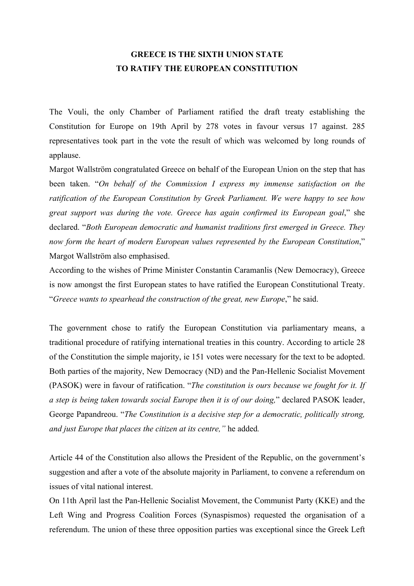## **GREECE IS THE SIXTH UNION STATE TO RATIFY THE EUROPEAN CONSTITUTION**

The Vouli, the only Chamber of Parliament ratified the draft treaty establishing the Constitution for Europe on 19th April by 278 votes in favour versus 17 against. 285 representatives took part in the vote the result of which was welcomed by long rounds of applause.

Margot Wallström congratulated Greece on behalf of the European Union on the step that has been taken. "*On behalf of the Commission I express my immense satisfaction on the ratification of the European Constitution by Greek Parliament. We were happy to see how great support was during the vote. Greece has again confirmed its European goal*," she declared. "*Both European democratic and humanist traditions first emerged in Greece. They now form the heart of modern European values represented by the European Constitution*," Margot Wallström also emphasised.

According to the wishes of Prime Minister Constantin Caramanlis (New Democracy), Greece is now amongst the first European states to have ratified the European Constitutional Treaty. "*Greece wants to spearhead the construction of the great, new Europe*," he said.

The government chose to ratify the European Constitution via parliamentary means, a traditional procedure of ratifying international treaties in this country. According to article 28 of the Constitution the simple majority, ie 151 votes were necessary for the text to be adopted. Both parties of the majority, New Democracy (ND) and the Pan-Hellenic Socialist Movement (PASOK) were in favour of ratification. "*The constitution is ours because we fought for it. If a step is being taken towards social Europe then it is of our doing,*" declared PASOK leader, George Papandreou. "*The Constitution is a decisive step for a democratic, politically strong, and just Europe that places the citizen at its centre,"* he added*.*

Article 44 of the Constitution also allows the President of the Republic, on the government's suggestion and after a vote of the absolute majority in Parliament, to convene a referendum on issues of vital national interest.

On 11th April last the Pan-Hellenic Socialist Movement, the Communist Party (KKE) and the Left Wing and Progress Coalition Forces (Synaspismos) requested the organisation of a referendum. The union of these three opposition parties was exceptional since the Greek Left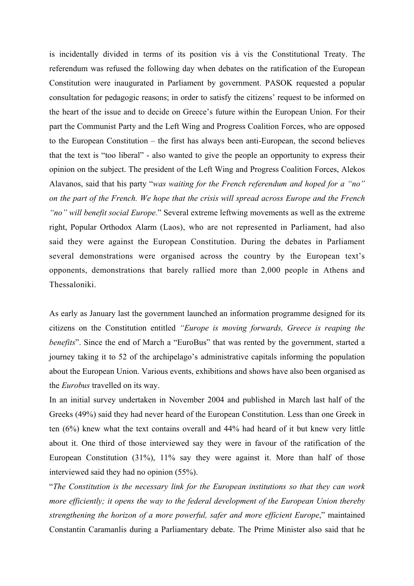is incidentally divided in terms of its position vis à vis the Constitutional Treaty. The referendum was refused the following day when debates on the ratification of the European Constitution were inaugurated in Parliament by government. PASOK requested a popular consultation for pedagogic reasons; in order to satisfy the citizens' request to be informed on the heart of the issue and to decide on Greece's future within the European Union. For their part the Communist Party and the Left Wing and Progress Coalition Forces, who are opposed to the European Constitution – the first has always been anti-European, the second believes that the text is "too liberal" - also wanted to give the people an opportunity to express their opinion on the subject. The president of the Left Wing and Progress Coalition Forces, Alekos Alavanos, said that his party "*was waiting for the French referendum and hoped for a "no" on the part of the French. We hope that the crisis will spread across Europe and the French "no" will benefit social Europe.*" Several extreme leftwing movements as well as the extreme right, Popular Orthodox Alarm (Laos), who are not represented in Parliament, had also said they were against the European Constitution. During the debates in Parliament several demonstrations were organised across the country by the European text's opponents, demonstrations that barely rallied more than 2,000 people in Athens and Thessaloniki.

As early as January last the government launched an information programme designed for its citizens on the Constitution entitled *"Europe is moving forwards, Greece is reaping the benefits*". Since the end of March a "EuroBus" that was rented by the government, started a journey taking it to 52 of the archipelago's administrative capitals informing the population about the European Union. Various events, exhibitions and shows have also been organised as the *Eurobus* travelled on its way.

In an initial survey undertaken in November 2004 and published in March last half of the Greeks (49%) said they had never heard of the European Constitution. Less than one Greek in ten (6%) knew what the text contains overall and 44% had heard of it but knew very little about it. One third of those interviewed say they were in favour of the ratification of the European Constitution (31%), 11% say they were against it. More than half of those interviewed said they had no opinion (55%).

"*The Constitution is the necessary link for the European institutions so that they can work more efficiently; it opens the way to the federal development of the European Union thereby strengthening the horizon of a more powerful, safer and more efficient Europe*," maintained Constantin Caramanlis during a Parliamentary debate. The Prime Minister also said that he